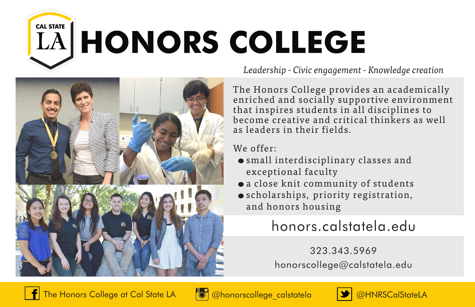# **CAL STATE LA HONORS COLLEGE**



*Leadership - Civic engagement - Knowledge creation* 

The Honors College provides an academically enriched and socially supportive environment that inspires students in all disciplines to become creative and critical thinkers as well as leaders in their fields.

We offer:

- small interdisciplinary classes and exceptional faculty
- a close knit community of students
- scholarships, priority registration, and honors housing

## honors.calstatela.edu

323.343.5969 honorscollege@calstatela.edu